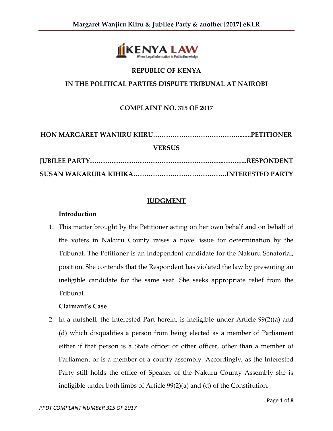

### **REPUBLIC OF KENYA**

## **IN THE POLITICAL PARTIES DISPUTE TRIBUNAL AT NAIROBI**

## **COMPLAINT NO. 315 OF 2017**

| <b>VERSUS</b> |  |
|---------------|--|
|               |  |
|               |  |

#### **JUDGMENT**

#### **Introduction**

1. This matter brought by the Petitioner acting on her own behalf and on behalf of the voters in Nakuru County raises a novel issue for determination by the Tribunal. The Petitioner is an independent candidate for the Nakuru Senatorial, position. She contends that the Respondent has violated the law by presenting an ineligible candidate for the same seat. She seeks appropriate relief from the Tribunal.

#### **Claimant's Case**

2. In a nutshell, the Interested Part herein, is ineligible under Article 99(2)(a) and (d) which disqualifies a person from being elected as a member of Parliament either if that person is a State officer or other officer, other than a member of Parliament or is a member of a county assembly. Accordingly, as the Interested Party still holds the office of Speaker of the Nakuru County Assembly she is ineligible under both limbs of Article 99(2)(a) and (d) of the Constitution.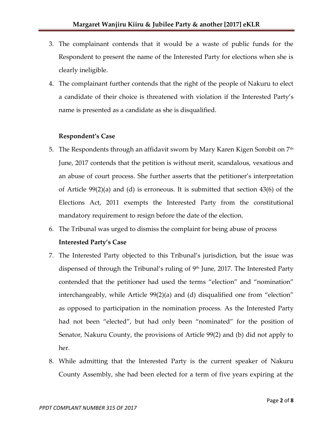- 3. The complainant contends that it would be a waste of public funds for the Respondent to present the name of the Interested Party for elections when she is clearly ineligible.
- 4. The complainant further contends that the right of the people of Nakuru to elect a candidate of their choice is threatened with violation if the Interested Party's name is presented as a candidate as she is disqualified.

## **Respondent's Case**

- 5. The Respondents through an affidavit sworn by Mary Karen Kigen Sorobit on 7<sup>th</sup> June, 2017 contends that the petition is without merit, scandalous, vexatious and an abuse of court process. She further asserts that the petitioner's interpretation of Article 99(2)(a) and (d) is erroneous. It is submitted that section 43(6) of the Elections Act, 2011 exempts the Interested Party from the constitutional mandatory requirement to resign before the date of the election.
- 6. The Tribunal was urged to dismiss the complaint for being abuse of process **Interested Party's Case**
- 7. The Interested Party objected to this Tribunal's jurisdiction, but the issue was dispensed of through the Tribunal's ruling of 9<sup>th</sup> June, 2017. The Interested Party contended that the petitioner had used the terms "election" and "nomination" interchangeably, while Article 99(2)(a) and (d) disqualified one from "election" as opposed to participation in the nomination process. As the Interested Party had not been "elected", but had only been "nominated" for the position of Senator, Nakuru County, the provisions of Article 99(2) and (b) did not apply to her.
- 8. While admitting that the Interested Party is the current speaker of Nakuru County Assembly, she had been elected for a term of five years expiring at the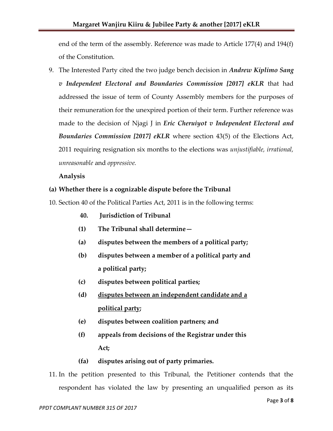end of the term of the assembly. Reference was made to Article 177(4) and 194(f) of the Constitution.

9. The Interested Party cited the two judge bench decision in *Andrew Kiplimo Sang v Independent Electoral and Boundaries Commission [2017] eKLR* that had addressed the issue of term of County Assembly members for the purposes of their remuneration for the unexpired portion of their term. Further reference was made to the decision of Njagi J in *Eric Cheruiyot v Independent Electoral and Boundaries Commission [2017] eKLR* where section 43(5) of the Elections Act, 2011 requiring resignation six months to the elections was *unjustifiable, irrational, unreasonable* and *oppressive.*

# **Analysis**

# **(a) Whether there is a cognizable dispute before the Tribunal**

- 10. Section 40 of the Political Parties Act, 2011 is in the following terms:
	- **40. Jurisdiction of Tribunal**
	- **(1) The Tribunal shall determine—**
	- **(a) disputes between the members of a political party;**
	- **(b) disputes between a member of a political party and a political party;**
	- **(c) disputes between political parties;**
	- **(d) disputes between an independent candidate and a political party;**
	- **(e) disputes between coalition partners; and**
	- **(f) appeals from decisions of the Registrar under this Act;**
	- **(fa) disputes arising out of party primaries.**
- 11. In the petition presented to this Tribunal, the Petitioner contends that the respondent has violated the law by presenting an unqualified person as its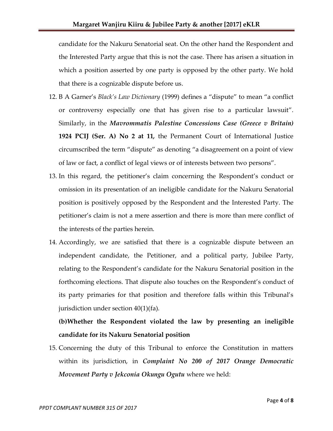candidate for the Nakuru Senatorial seat. On the other hand the Respondent and the Interested Party argue that this is not the case. There has arisen a situation in which a position asserted by one party is opposed by the other party. We hold that there is a cognizable dispute before us.

- 12. B A Garner's *Black's Law Dictionary* (1999) defines a "dispute" to mean "a conflict or controversy especially one that has given rise to a particular lawsuit". Similarly, in the *Mavrommatis Palestine Concessions Case (Greece v Britain)*  **1924 PCIJ (Ser. A) No 2 at 11***,* the Permanent Court of International Justice circumscribed the term "dispute" as denoting "a disagreement on a point of view of law or fact, a conflict of legal views or of interests between two persons".
- 13. In this regard, the petitioner's claim concerning the Respondent's conduct or omission in its presentation of an ineligible candidate for the Nakuru Senatorial position is positively opposed by the Respondent and the Interested Party. The petitioner's claim is not a mere assertion and there is more than mere conflict of the interests of the parties herein.
- 14. Accordingly, we are satisfied that there is a cognizable dispute between an independent candidate, the Petitioner, and a political party, Jubilee Party, relating to the Respondent's candidate for the Nakuru Senatorial position in the forthcoming elections. That dispute also touches on the Respondent's conduct of its party primaries for that position and therefore falls within this Tribunal's jurisdiction under section 40(1)(fa).

**(b)Whether the Respondent violated the law by presenting an ineligible candidate for its Nakuru Senatorial position**

15. Concerning the duty of this Tribunal to enforce the Constitution in matters within its jurisdiction, in *Complaint No 200 of 2017 Orange Democratic Movement Party v Jekconia Okungu Ogutu* where we held: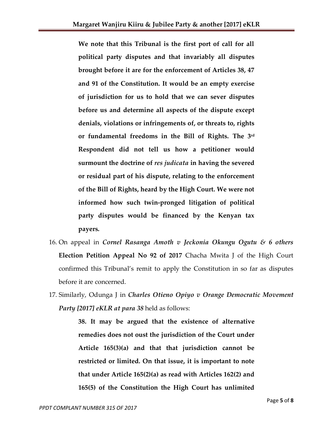**We note that this Tribunal is the first port of call for all political party disputes and that invariably all disputes brought before it are for the enforcement of Articles 38, 47 and 91 of the Constitution. It would be an empty exercise of jurisdiction for us to hold that we can sever disputes before us and determine all aspects of the dispute except denials, violations or infringements of, or threats to, rights or fundamental freedoms in the Bill of Rights. The 3rd Respondent did not tell us how a petitioner would surmount the doctrine of** *res judicata* **in having the severed or residual part of his dispute, relating to the enforcement of the Bill of Rights, heard by the High Court. We were not informed how such twin-pronged litigation of political party disputes would be financed by the Kenyan tax payers.** 

- 16. On appeal in *Cornel Rasanga Amoth v Jeckonia Okungu Ogutu & 6 others*  **Election Petition Appeal No 92 of 2017** Chacha Mwita J of the High Court confirmed this Tribunal's remit to apply the Constitution in so far as disputes before it are concerned.
- 17. Similarly, Odunga J in *Charles Otieno Opiyo v Orange Democratic Movement Party [2017] eKLR at para 38* held as follows:

**38. It may be argued that the existence of alternative remedies does not oust the jurisdiction of the Court under Article 165(3)(a) and that that jurisdiction cannot be restricted or limited. On that issue, it is important to note that under Article 165(2)(a) as read with Articles 162(2) and 165(5) of the Constitution the High Court has unlimited**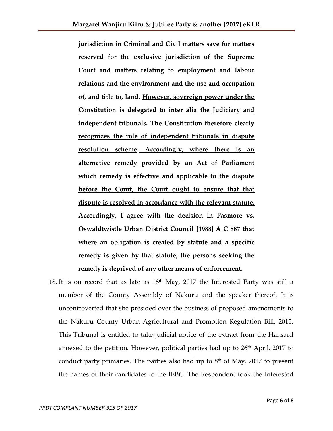**jurisdiction in Criminal and Civil matters save for matters reserved for the exclusive jurisdiction of the Supreme Court and matters relating to employment and labour relations and the environment and the use and occupation of, and title to, land. However, sovereign power under the Constitution is delegated to inter alia the Judiciary and independent tribunals. The Constitution therefore clearly recognizes the role of independent tribunals in dispute resolution scheme. Accordingly, where there is an alternative remedy provided by an Act of Parliament which remedy is effective and applicable to the dispute before the Court, the Court ought to ensure that that dispute is resolved in accordance with the relevant statute. Accordingly, I agree with the decision in Pasmore vs. Oswaldtwistle Urban District Council [1988] A C 887 that where an obligation is created by statute and a specific remedy is given by that statute, the persons seeking the remedy is deprived of any other means of enforcement.**

18. It is on record that as late as  $18<sup>th</sup>$  May, 2017 the Interested Party was still a member of the County Assembly of Nakuru and the speaker thereof. It is uncontroverted that she presided over the business of proposed amendments to the Nakuru County Urban Agricultural and Promotion Regulation Bill, 2015. This Tribunal is entitled to take judicial notice of the extract from the Hansard annexed to the petition. However, political parties had up to  $26<sup>th</sup>$  April, 2017 to conduct party primaries. The parties also had up to  $8<sup>th</sup>$  of May, 2017 to present the names of their candidates to the IEBC. The Respondent took the Interested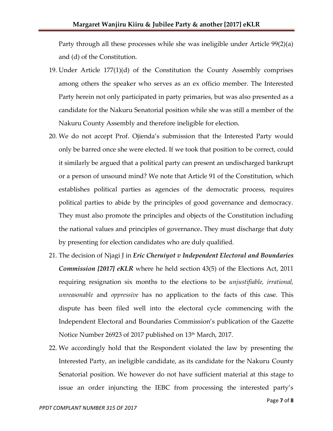Party through all these processes while she was ineligible under Article 99(2)(a) and (d) of the Constitution.

- 19. Under Article 177(1)(d) of the Constitution the County Assembly comprises among others the speaker who serves as an ex officio member. The Interested Party herein not only participated in party primaries, but was also presented as a candidate for the Nakuru Senatorial position while she was still a member of the Nakuru County Assembly and therefore ineligible for election.
- 20. We do not accept Prof. Ojienda's submission that the Interested Party would only be barred once she were elected. If we took that position to be correct, could it similarly be argued that a political party can present an undischarged bankrupt or a person of unsound mind? We note that Article 91 of the Constitution, which establishes political parties as agencies of the democratic process, requires political parties to abide by the principles of good governance and democracy. They must also promote the principles and objects of the Constitution including the national values and principles of governance**.** They must discharge that duty by presenting for election candidates who are duly qualified.
- 21. The decision of Njagi J in *Eric Cheruiyot v Independent Electoral and Boundaries Commission [2017] eKLR* where he held section 43(5) of the Elections Act, 2011 requiring resignation six months to the elections to be *unjustifiable, irrational, unreasonable* and *oppressive* has no application to the facts of this case. This dispute has been filed well into the electoral cycle commencing with the Independent Electoral and Boundaries Commission's publication of the Gazette Notice Number 26923 of 2017 published on 13<sup>th</sup> March, 2017.
- 22. We accordingly hold that the Respondent violated the law by presenting the Interested Party, an ineligible candidate, as its candidate for the Nakuru County Senatorial position. We however do not have sufficient material at this stage to issue an order injuncting the IEBC from processing the interested party's